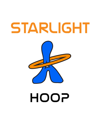# STARLIGHT



# HOOP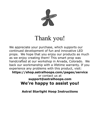

# Thank you!

We appreciate your purchase, which supports our continued development of fun and innovative LED props. We hope that you enjoy our products as much as we enjoy creating them! This smart prop was handcrafted at our workshop in Arvada, Colorado. We back our workmanship with a lifetime warranty. If you experience any problems with this product, visit:

**<https://shop.astralhoops.com/pages/service>** or contact us at **[s upport@astralhoops.com](mailto:Support@astralhoops.com)** 

**We're happy to assist you!** 

**Astral Starlight Hoop Instructions**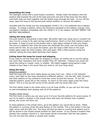#### **Assembling the hoop**

The Starlight comes with a push button connector. Simply insert the battery with the positive side towards the end of the tube and push one end of the hoop into the other until both ends are flush together and the button pops through the hole. To turn off the hoop, open the hoop to the second push button position or remove the battery.

Included with this model are two rechargeable 10440 3.7V Li-Ion batteries and a battery charger. To charge a battery, follow the directions indicated on the battery charger. Only use battery chargers compatible with the 10440 3.7V Li-Ion battery. DO NOT INSERT THE BATTERY BACKWARDS.

#### **Taking the hoop apart**

The push button is sometimes a little tight. We prefer tight over loose since it wouldn't be very nice for a hoop to fly open during a performance. Here's a trick that makes it quite a bit easier: it helps to push on the button with a rigid object instead of with your finger. The end of a ballpoint pen (with the point still retracted) fits nicely over the button and works well for this. As you push the button, give the hoop a little twist so the push button goes under the hoop surface, then pull apart. With a little practice using this method, taking the hoop apart becomes much easier.

#### **Coiling down the hoop for travel and shipping**

If you need to coil the hoop later for shipping or travel, be careful not to coil the tubing any more than necessary and never smaller than 20" diameter. Coiling it too small can cause the tubing to crease, crack, or shatter. We highly suggest using painter's tape instead of duct tape in the event that you need to coil your hoop down.

#### **Using the hoop**

#### Selecting a pattern

Hold the hoop with the menu lights going out away from you. When in the selection menu, each light on the hoop represents a different pattern. Use the left, right, forward, and back buttons on the remote to move the cursor around the menus. To run the selected pattern, press OK on the remote. To return to the menu again press the menu button. This is in the top left corner of the remote with the three lines icon.

The first yellow mode in the white menu is an all hoop shuffle, so you can turn the hoop on and immediately start playing with all of the patterns!

#### Presets (white menu)

The first menu is where you can save up to 9 of your favorite patterns for quick access. If you try to select a location in the preset menu that does not already have a pattern stored, the cursor will blink red.

To store patterns in the preset menu, go to the pattern you would like to store. While the pattern is running, press the save button on the remote. This is the button in the top right corner with the disk icon. The hoop will then go back to running that pattern and it will be stored in the chosen preset location for later access. If you choose a location that already has a pattern stored in it, that preset will be overwritten with the new pattern. You can not save the yellow or purple scan modes.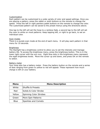#### Customization

Each pattern can be customized to a wide variety of color and speed settings. Once you are playing a pattern, press the rabbit or sloth buttons on the remote to change the speed. Press the left or right painters pallet buttons on the remote to change the color. The customized pattern can be saved to the preset menus using the directions above.

One tap to the left will set the hoop to a rainbow fade, a second tap to the left will set the color to white on most patterns. Keep tapping left, or right to go back, to set an individual color.

#### Scan modes

There is a purple scan mode at the end of each menu. It will play each pattern in that menu for 10 seconds.

#### **Brightness**

The Starlight has a brightness control to allow you to set the intensity and manage battery life. To access the brightness menu, press the brightness button. This is in the lower right corner with the sun icon. Eight blue dots in the brightness menu represent the eight brightness levels. Move the cursor up and down, and press OK on the remote to select.

#### Battery meter

Your hoop also has a battery meter. Press the battery button on the remote and a series of dots ranging from green to yellow to red will appear. These represent how much charge is left on your battery.

| Menu        | <b>Menu Description</b>          |
|-------------|----------------------------------|
| White       | Shuffle & Presets                |
| Red         | <b>Solids &amp; Color Strobe</b> |
| Yellow      | Spinning Color Strobes           |
| Green       | More Spin Patterns               |
| <b>Blue</b> | Sparkles and Comets              |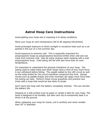### **Astral Hoop Care Instructions**

Avoid getting your hoop wet or exposing it to damp conditions.

Store your hoop at room temperature (60 to 85 degrees Fahrenheit).

Avoid prolonged exposure to direct sunlight or excessive heat such as a car parked in the sun on a hot summer day.

Avoid exposure to extreme cold. This is especially important for polypropylene hoops as polypropylene becomes brittle when cold and can crack from extreme cold. Also be extra cautious when hooping with a cold polypropylene hoop. Cold tubing will fail with less force than at room temperature.

It's important to understand the physical limitations of your hoop. The tubing used to make these and other hoops have a limit of how much force it can withstand before failing. The weight added by the LED circuit as well as the holes drilled for the circuit interfaces compound this limit. Abrupt moves such as paddle breaks and knee reversals can apply more force than the tubing can take. Perform these moves gracefully and practice new tricks with a hoop that would be less likely to break.

Don't store the hoop with the battery completely drained. This can shorten the battery life.

Hooping on a soft surface such as grass or carpet is best for your hoop. The hoop is designed to be durable, but take care not to excessively beat it or throw it at the ground.

When collapsing your hoop for travel, coil it carefully and never smaller than 20" in diameter.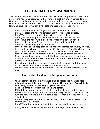## **LI-ION BATTERY WARNING**

This hoop may contain a Li-ion battery. We use advanced protection circuitry to protect the hoop and batteries in the event of a problem and minimize dangers. However, Li-ion batteries can catch fire and/or explode if misused or exposed to conditions such as water or extreme heat. Please read and understand the following cautions so you can enjoy safe and proper use of your hoop.

Never store the hoop inside your car in extreme temperatures. Do NOT expose the hoop to direct sunlight for extended periods. Do NOT expose the hoop to other extreme heat or flame. Storing at room temperature between 40 and 80 degrees F is best. Don't leave the hoop with a dead battery for an extended period. Charge battery every 2 months when not in use to keep it fresh.

Never leave a charging hoop unattended.

If the battery or the hoop around the battery becomes hot, swells, smokes, leaks, or is punctured, turn the hoop off, disconnect it from the charger, and put it in a safe place to observe it for approximately 15 minutes.

If the battery has been damaged, do not turn on or charge the hoop. Never expose hoop to moisture. If the hoop does get wet, allow it to dry thoroughly and ensure there is no moisture trapped inside the hoop before turning it on or charging it.

Only charge with the Li-ion smart charger that we supply with the hoop. NEVER plug or stick anything else into the charging port.

Do not disassemble the hoop or tamper with the battery or circuit in any way.

#### **A note about using this hoop as a fire hoop:**

#### **We recommend that only trained and experienced fire hoopers attempt to use this hoop as a fire hoop. If you attach fire wicks to this hoop, you do so entirely at your own risk.**

Keep the flame away from the tubing and battery.

If the tubing around the battery is damaged by the fire, or if the battery shows signs of damage, or if the hoop or battery begins to swell or smoke, turn the hoop off and put it in a safe place to observe it for approximately 15 minutes.

If the battery area of the hoop catches fire, put it out with a class C fire extinguisher, NOT water.

Do NOT turn the hoop on or plug it into the charger if the battery or the

tubing around the battery shows signs of damage due to heat or fire.